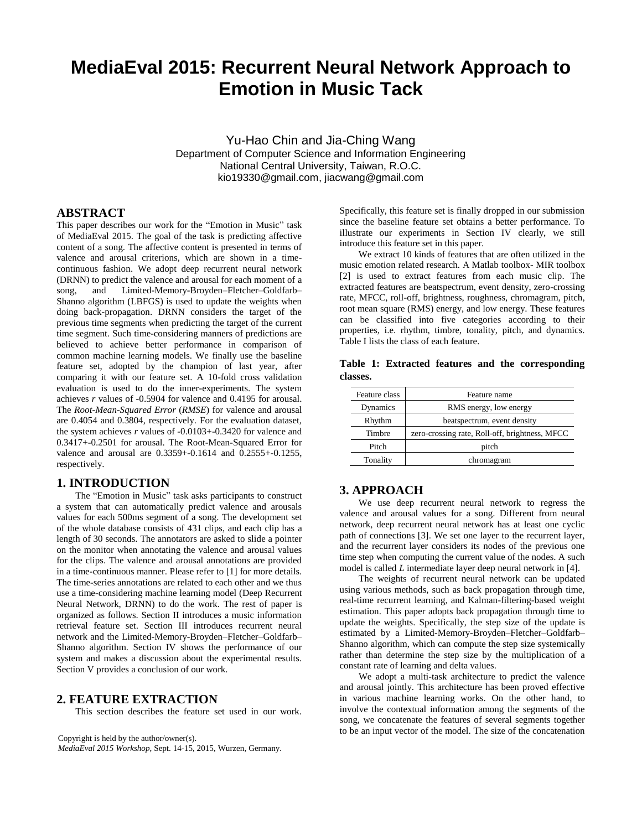# **MediaEval 2015: Recurrent Neural Network Approach to Emotion in Music Tack**

Yu-Hao Chin and Jia-Ching Wang Department of Computer Science and Information Engineering National Central University, Taiwan, R.O.C. kio19330@gmail.com, jiacwang@gmail.com

# **ABSTRACT**

This paper describes our work for the "Emotion in Music" task of MediaEval 2015. The goal of the task is predicting affective content of a song. The affective content is presented in terms of valence and arousal criterions, which are shown in a timecontinuous fashion. We adopt deep recurrent neural network (DRNN) to predict the valence and arousal for each moment of a song, and Limited-Memory-Broyden–Fletcher–Goldfarb– Shanno algorithm (LBFGS) is used to update the weights when doing back-propagation. DRNN considers the target of the previous time segments when predicting the target of the current time segment. Such time-considering manners of predictions are believed to achieve better performance in comparison of common machine learning models. We finally use the baseline feature set, adopted by the champion of last year, after comparing it with our feature set. A 10-fold cross validation evaluation is used to do the inner-experiments. The system achieves *r* values of -0.5904 for valence and 0.4195 for arousal. The *Root-Mean-Squared Error* (*RMSE*) for valence and arousal are 0.4054 and 0.3804, respectively. For the evaluation dataset, the system achieves *r* values of -0.0103+-0.3420 for valence and 0.3417+-0.2501 for arousal. The Root-Mean-Squared Error for valence and arousal are 0.3359+-0.1614 and 0.2555+-0.1255, respectively.

## **1. INTRODUCTION**

The "Emotion in Music" task asks participants to construct a system that can automatically predict valence and arousals values for each 500ms segment of a song. The development set of the whole database consists of 431 clips, and each clip has a length of 30 seconds. The annotators are asked to slide a pointer on the monitor when annotating the valence and arousal values for the clips. The valence and arousal annotations are provided in a time-continuous manner. Please refer to [1] for more details. The time-series annotations are related to each other and we thus use a time-considering machine learning model (Deep Recurrent Neural Network, DRNN) to do the work. The rest of paper is organized as follows. Section II introduces a music information retrieval feature set. Section III introduces recurrent neural network and the Limited-Memory-Broyden–Fletcher–Goldfarb– Shanno algorithm. Section IV shows the performance of our system and makes a discussion about the experimental results. Section V provides a conclusion of our work.

#### **2. FEATURE EXTRACTION**

This section describes the feature set used in our work.

Copyright is held by the author/owner(s).

*MediaEval 2015 Workshop*, Sept. 14-15, 2015, Wurzen, Germany.

Specifically, this feature set is finally dropped in our submission since the baseline feature set obtains a better performance. To illustrate our experiments in Section IV clearly, we still introduce this feature set in this paper.

We extract 10 kinds of features that are often utilized in the music emotion related research. A Matlab toolbox- MIR toolbox [2] is used to extract features from each music clip. The extracted features are beatspectrum, event density, zero-crossing rate, MFCC, roll-off, brightness, roughness, chromagram, pitch, root mean square (RMS) energy, and low energy. These features can be classified into five categories according to their properties, i.e. rhythm, timbre, tonality, pitch, and dynamics. Table I lists the class of each feature.

**Table 1: Extracted features and the corresponding classes.**

| Feature class | Feature name                                   |  |  |
|---------------|------------------------------------------------|--|--|
| Dynamics      | RMS energy, low energy                         |  |  |
| Rhythm        | beatspectrum, event density                    |  |  |
| Timbre        | zero-crossing rate, Roll-off, brightness, MFCC |  |  |
| Pitch         | pitch                                          |  |  |
| Tonality      | chromagram                                     |  |  |

## **3. APPROACH**

We use deep recurrent neural network to regress the valence and arousal values for a song. Different from neural network, deep recurrent neural network has at least one cyclic path of connections [3]. We set one layer to the recurrent layer, and the recurrent layer considers its nodes of the previous one time step when computing the current value of the nodes. A such model is called *L* intermediate layer deep neural network in [4].

 The weights of recurrent neural network can be updated using various methods, such as back propagation through time, real-time recurrent learning, and Kalman-filtering-based weight estimation. This paper adopts back propagation through time to update the weights. Specifically, the step size of the update is estimated by a Limited-Memory-Broyden–Fletcher–Goldfarb– Shanno algorithm, which can compute the step size systemically rather than determine the step size by the multiplication of a constant rate of learning and delta values.

 We adopt a multi-task architecture to predict the valence and arousal jointly. This architecture has been proved effective in various machine learning works. On the other hand, to involve the contextual information among the segments of the song, we concatenate the features of several segments together to be an input vector of the model. The size of the concatenation